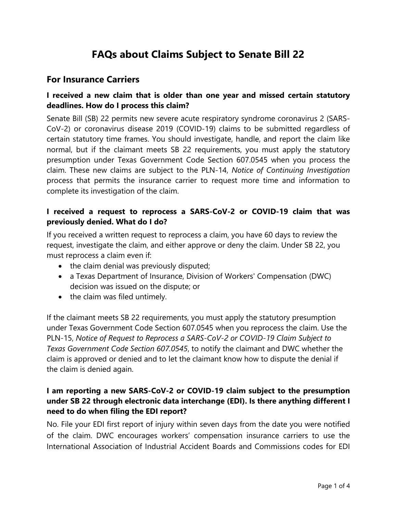# **FAQs about Claims Subject to Senate Bill 22**

## **For Insurance Carriers**

#### **I received a new claim that is older than one year and missed certain statutory deadlines. How do I process this claim?**

Senate Bill (SB) 22 permits new severe acute respiratory syndrome coronavirus 2 (SARS-CoV-2) or coronavirus disease 2019 (COVID-19) claims to be submitted regardless of certain statutory time frames. You should investigate, handle, and report the claim like normal, but if the claimant meets SB 22 requirements, you must apply the statutory presumption under Texas Government Code Section 607.0545 when you process the claim. These new claims are subject to the PLN-14, *Notice of Continuing Investigation* process that permits the insurance carrier to request more time and information to complete its investigation of the claim.

#### **I received a request to reprocess a SARS-CoV-2 or COVID-19 claim that was previously denied. What do I do?**

If you received a written request to reprocess a claim, you have 60 days to review the request, investigate the claim, and either approve or deny the claim. Under SB 22, you must reprocess a claim even if:

- the claim denial was previously disputed;
- a Texas Department of Insurance, Division of Workers' Compensation (DWC) decision was issued on the dispute; or
- the claim was filed untimely.

If the claimant meets SB 22 requirements, you must apply the statutory presumption under Texas Government Code Section 607.0545 when you reprocess the claim. Use the PLN-15, *Notice of Request to Reprocess a SARS-CoV-2 or COVID-19 Claim Subject to Texas Government Code Section 607.0545*, to notify the claimant and DWC whether the claim is approved or denied and to let the claimant know how to dispute the denial if the claim is denied again.

## **I am reporting a new SARS-CoV-2 or COVID-19 claim subject to the presumption under SB 22 through electronic data interchange (EDI). Is there anything different I need to do when filing the EDI report?**

No. File your EDI first report of injury within seven days from the date you were notified of the claim. DWC encourages workers' compensation insurance carriers to use the International Association of Industrial Accident Boards and Commissions codes for EDI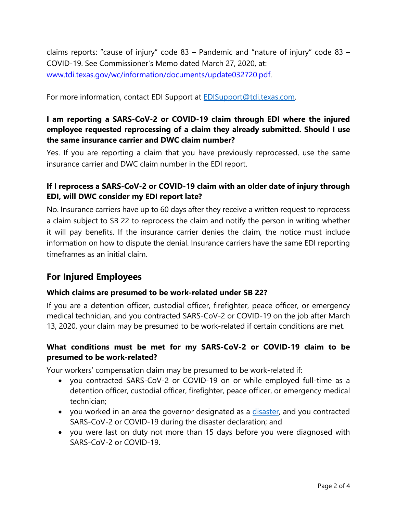claims reports: "cause of injury" code 83 – Pandemic and "nature of injury" code 83 – COVID-19. See Commissioner's Memo dated March 27, 2020, at: [www.tdi.texas.gov/wc/information/documents/update032720.pdf.](https://www.tdi.texas.gov/wc/information/documents/update032720.pdf)

For more information, contact EDI Support at **EDISupport@tdi.texas.com.** 

## **I am reporting a SARS-CoV-2 or COVID-19 claim through EDI where the injured employee requested reprocessing of a claim they already submitted. Should I use the same insurance carrier and DWC claim number?**

Yes. If you are reporting a claim that you have previously reprocessed, use the same insurance carrier and DWC claim number in the EDI report.

### **If I reprocess a SARS-CoV-2 or COVID-19 claim with an older date of injury through EDI, will DWC consider my EDI report late?**

No. Insurance carriers have up to 60 days after they receive a written request to reprocess a claim subject to SB 22 to reprocess the claim and notify the person in writing whether it will pay benefits. If the insurance carrier denies the claim, the notice must include information on how to dispute the denial. Insurance carriers have the same EDI reporting timeframes as an initial claim.

# **For Injured Employees**

#### **Which claims are presumed to be work-related under SB 22?**

If you are a detention officer, custodial officer, firefighter, peace officer, or emergency medical technician, and you contracted SARS-CoV-2 or COVID-19 on the job after March 13, 2020, your claim may be presumed to be work-related if certain conditions are met.

#### **What conditions must be met for my SARS-CoV-2 or COVID-19 claim to be presumed to be work-related?**

Your workers' compensation claim may be presumed to be work-related if:

- you contracted SARS-CoV-2 or COVID-19 on or while employed full-time as a detention officer, custodial officer, firefighter, peace officer, or emergency medical technician;
- you worked in an area the governor designated as a [disaster,](https://gov.texas.gov/news/post/governor-abbott-declares-state-of-disaster-in-texas-due-to-covid-19) and you contracted SARS-CoV-2 or COVID-19 during the disaster declaration; and
- you were last on duty not more than 15 days before you were diagnosed with SARS-CoV-2 or COVID-19.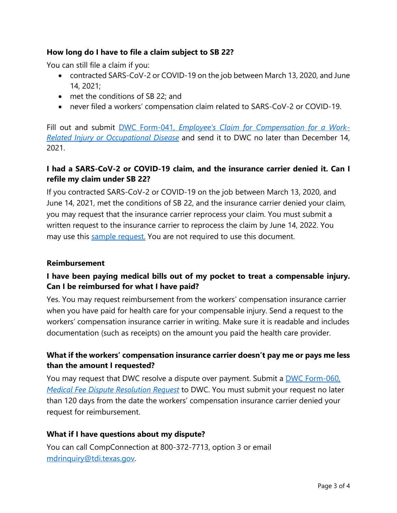#### **How long do I have to file a claim subject to SB 22?**

You can still file a claim if you:

- contracted SARS-CoV-2 or COVID-19 on the job between March 13, 2020, and June 14, 2021;
- met the conditions of SB 22; and
- never filed a workers' compensation claim related to SARS-CoV-2 or COVID-19.

Fill out and submit DWC Form-041, *[Employee's Claim for Compensation](https://www.tdi.texas.gov/forms/dwc/dwc041firstrpt.doc) for a Work-[Related Injury or Occupational Disease](https://www.tdi.texas.gov/forms/dwc/dwc041firstrpt.doc)* and send it to DWC no later than December 14, 2021.

### **I had a SARS-CoV-2 or COVID-19 claim, and the insurance carrier denied it. Can I refile my claim under SB 22?**

If you contracted SARS-CoV-2 or COVID-19 on the job between March 13, 2020, and June 14, 2021, met the conditions of SB 22, and the insurance carrier denied your claim, you may request that the insurance carrier reprocess your claim. You must submit a written request to the insurance carrier to reprocess the claim by June 14, 2022. You may use this [sample request.](https://www.tdi.texas.gov/wc/information/documents/sb22samplereq.pdf) You are not required to use this document.

#### **Reimbursement**

## **I have been paying medical bills out of my pocket to treat a compensable injury. Can I be reimbursed for what I have paid?**

Yes. You may request reimbursement from the workers' compensation insurance carrier when you have paid for health care for your compensable injury. Send a request to the workers' compensation insurance carrier in writing. Make sure it is readable and includes documentation (such as receipts) on the amount you paid the health care provider.

#### **What if the workers' compensation insurance carrier doesn't pay me or pays me less than the amount I requested?**

You may request that DWC resolve a dispute over payment. Submit a DWC Form-060, *[Medical Fee Dispute Resolution Request](https://www.tdi.texas.gov/forms/dwc/dwc060mfdr.pdf)* to DWC. You must submit your request no later than 120 days from the date the workers' compensation insurance carrier denied your request for reimbursement.

#### **What if I have questions about my dispute?**

You can call CompConnection at 800-372-7713, option 3 or email [mdrinquiry@tdi.texas.gov.](mailto:mdrinquiry@tdi.texas.gov)